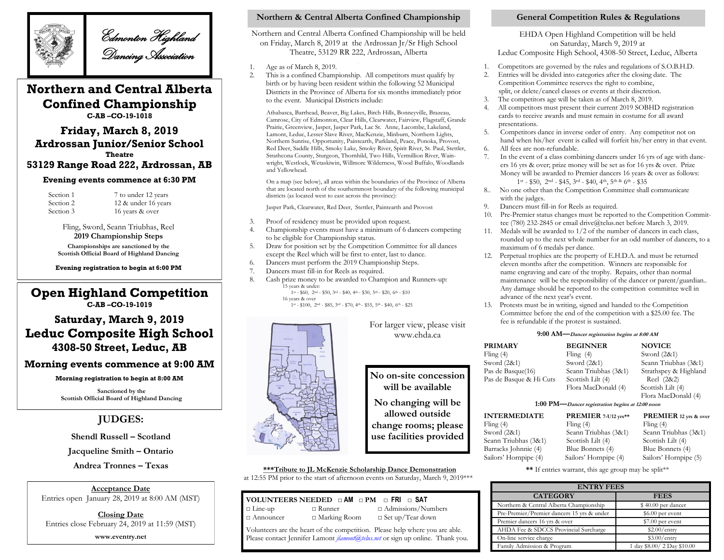

Edmonton Highland Dancing Association

# **Northern and Central Alberta Confined Championship**

**C-AB –CO-19-1018**

## **Friday, March 8, 2019 Ardrossan Junior/Senior School Theatre**

## **53129 Range Road 222, Ardrossan, AB**

### **Evening events commence at 6:30 PM**

| Section 1 |  |
|-----------|--|
| Section 2 |  |
| Section 3 |  |

7 to under 12 years 12 & under 16 years 16 years & over

Fling, Sword, Seann Triubhas, Reel **2019 Championship Steps Championships are sanctioned by the Scottish Official Board of Highland Dancing**

**Evening registration to begin at 6:00 PM**

## **Open Highland Competition C-AB –CO-19-1019**

## **Saturday, March 9, 2019 Leduc Composite High School 4308-50 Street, Leduc, AB**

## **Morning events commence at 9:00 AM**

### **Morning registration to begin at 8:00 AM**

**Sanctioned by the Scottish Official Board of Highland Dancing**

## **JUDGES:**

**Shendl Russell – Scotland**

**Jacqueline Smith – Ontario**

**Andrea Tronnes – Texas**

**Acceptance Date** Entries open January 28, 2019 at 8:00 AM (MST)

**Closing Date** Entries close February 24, 2019 at 11:59 (MST) **www.eventry.net** 

## **Northern & Central Alberta Confined Championship General Competition Rules & Regulations**

Northern and Central Alberta Confined Championship will be held on Friday, March 8, 2019 at the Ardrossan Jr/Sr High School Theatre, 53129 RR 222, Ardrossan, Alberta

- 1. Age as of March 8, 2019.
- This is a confined Championship. All competitors must qualify by birth or by having been resident within the following 52 Municipal Districts in the Province of Alberta for six months immediately prior to the event. Municipal Districts include:

Athabasca, Barrhead, Beaver, Big Lakes, Birch Hills, Bonneyville, Brazeau, Camrose, City of Edmonton, Clear Hills, Clearwater, Fairview, Flagstaff, Grande Prairie, Greenview, Jasper, Jasper Park, Lac St. Anne, Lacombe, Lakeland, Lamont, Leduc, Lesser Slave River, MacKenzie, Minburn, Northern Lights, Northern Sunrise, Opportunity, Paintearth, Parkland, Peace, Ponoka, Provost, Red Deer, Saddle Hills, Smoky Lake, Smoky River, Spirit River, St. Paul, Stettler, Strathcona County, Sturgeon, Thornhild, Two Hills, Vermillion River, Wainwright, Westlock, Wetaskiwin, Willmore Wilderness, Wood Buffalo, Woodlands and Yellowhead.

On a map (see below), all areas within the boundaries of the Province of Alberta that are located north of the southernmost boundary of the following municipal districts (as located west to east across the province):

Jasper Park, Clearwater, Red Deer, Stettler, Paintearth and Provost

- 3. Proof of residency must be provided upon request.
- 4. Championship events must have a minimum of 6 dancers competing to be eligible for Championship status.
- 5. Draw for position set by the Competition Committee for all dances except the Reel which will be first to enter, last to dance.
- 6. Dancers must perform the 2019 Championship Steps.
- 7. Dancers must fill-in for Reels as required.
- 8. Cash prize money to be awarded to Champion and Runners-up: 15 years & under: 1st - \$60, 2nd - \$50, 3rd - \$40, 4th - \$30, 5th - \$20, 6th - \$10
	- 16 years & over

1st - \$100, 2nd - \$85, 3rd - \$70, 4th - \$55, 5th - \$40, 6th - \$25



For larger view, please visit www.ehda.ca

**will be available**

**No changing will be allowed outside**  change rooms; plea use facilities provid

## **\*\*\*Tribute to JL McKenzie Scholarship Dance Demonstration**

at 12:55 PM prior to the start of afternoon events on Saturday, March 9, 2019\*\*\*

### **VOLUNTEERS NEEDED □ AM □ PM □ FRI □ SAT** □ Line-up □ Runner □ Admissions/Numbers □ Announcer □ Marking Room □ Set up/Tear down

Volunteers are the heart of the competition. Please help where you are able. Please contact Jennifer Lamont *jlamont@telus.net* or sign up online. Thank you.

EHDA Open Highland Competition will be held on Saturday, March 9, 2019 at Leduc Composite High School, 4308-50 Street, Leduc, Alberta

- 1. Competitors are governed by the rules and regulations of S.O.B.H.D.
- 2. Entries will be divided into categories after the closing date. The Competition Committee reserves the right to combine, split, or delete/cancel classes or events at their discretion.
- 3. The competitors age will be taken as of March 8, 2019.
- 4. All competitors must present their current 2019 SOBHD registration cards to receive awards and must remain in costume for all award presentations.
- 5. Competitors dance in inverse order of entry. Any competitor not on hand when his/her event is called will forfeit his/her entry in that event.
- 6. All fees are non-refundable.
- In the event of a class combining dancers under 16 yrs of age with dancers 16 yrs & over; prize money will be set as for 16 yrs & over. Prize Money will be awarded to Premier dancers 16 years & over as follows: 1st - \$50, 2nd - \$45, 3rd - \$40, 4th, 5th & 6th - \$35
- 8.. No one other than the Competition Committee shall communicate with the judges.
- 9. Dancers must fill-in for Reels as required.
- Pre-Premier status changes must be reported to the Competition Committee (780) 232-2845 or email drive@telus.net before March 3, 2019.
- 11. Medals will be awarded to 1/2 of the number of dancers in each class, rounded up to the next whole number for an odd number of dancers, to a maximum of 6 medals per dance.
- 12. Perpetual trophies are the property of E.H.D.A. and must be returned eleven months after the competition. Winners are responsible for name engraving and care of the trophy. Repairs, other than normal maintenance will be the responsibility of the dancer or parent/guardian.. Any damage should be reported to the competition committee well in advance of the next year's event.
- 13. Protests must be in writing, signed and handed to the Competition Committee before the end of the competition with a \$25.00 fee. The fee is refundable if the protest is sustained.

### **9:00 AM—Dancer registration begins at 8:00 AM**

|             | <b>PRIMARY</b><br>Fling $(4)$<br>Sword $(2&1)$                | <b>BEGINNER</b><br>Fling $(4)$<br>Sword $(2&1)$                  | <b>NOVICE</b><br>Sword $(2&1)$<br>Seann Triubhas (3&1)        |
|-------------|---------------------------------------------------------------|------------------------------------------------------------------|---------------------------------------------------------------|
| sion        | Pas de Basque(16)<br>Pas de Basque & Hi Cuts                  | Seann Triubhas (3&1)<br>Scottish Lilt (4)<br>Flora MacDonald (4) | Strathspey & Highland<br>Reel (2&2)<br>Scottish Lilt (4)      |
| be          |                                                               | 1:00 PM-Dancer registration begins at 12:00 noon                 | Flora MacDonald (4)                                           |
|             | <b>INTERMEDIATE</b>                                           | PREMIER 7-U12 yrs**                                              | <b>PREMIER</b> 12 yrs & over                                  |
| ase         | Fling $(4)$                                                   | Fling $(4)$                                                      | Fling $(4)$                                                   |
| ${\rm ded}$ | Sword $(2&1)$<br>Seann Triubhas (3&1)<br>Barracks Johnnie (4) | Seann Triubhas (3&1)<br>Scottish Lilt (4)<br>Blue Bonnets (4)    | Seann Triubhas (3&1)<br>Scottish Lilt (4)<br>Blue Bonnets (4) |

Sailors' Hornpipe (4) Sailors' Hornpipe (4) Sailors' Hornpipe (5) **\*\*** If entries warrant, this age group may be split\*\*

| <b>ENTRY FEES</b>                          |                            |  |
|--------------------------------------------|----------------------------|--|
| <b>CATEGORY</b>                            | <b>FEES</b>                |  |
| Northern & Central Alberta Championship    | \$40.00 per dancer         |  |
| Pre-Premier/Premier dancers 15 yrs & under | $$6.00$ per event          |  |
| Premier dancers 16 yrs & over              | \$7.00 per event           |  |
| AHDA Fee & SDCCS Provincial Surcharge      | $$2.00/$ entry             |  |
| On-line service charge                     | $$3.00/$ entry             |  |
| Family Admission & Program                 | 1 day \$8.00/2 Day \$10.00 |  |

**No on-site concess**